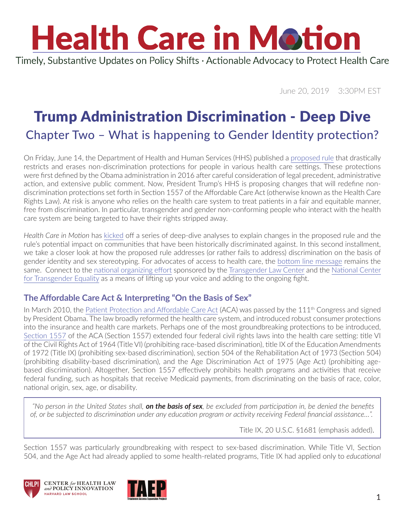Timely, Substantive Updates on Policy Shifts · Actionable Advocacy to Protect Health Care

June 20, 2019 3:30PM EST

### Trump Administration Discrimination - Deep Dive Chapter Two – What is happening to Gender Identity protection?

On Friday, June 14, the Department of Health and Human Services (HHS) published a [proposed rule](https://www.govinfo.gov/content/pkg/FR-2019-06-14/pdf/2019-11512.pdf) that drastically restricts and erases non-discrimination protections for people in various health care settings. These protections were first defined by the Obama administration in 2016 after careful consideration of legal precedent, administrative action, and extensive public comment. Now, President Trump's HHS is proposing changes that will redefine nondiscrimination protections set forth in Section 1557 of the Affordable Care Act (otherwise known as the Health Care Rights Law). At risk is anyone who relies on the health care system to treat patients in a fair and equitable manner, free from discrimination. In particular, transgender and gender non-conforming people who interact with the health care system are being targeted to have their rights stripped away.

*Health Care in Motion* has [kicked](https://www.chlpi.org/wp-content/uploads/2013/12/HCIM_6_05_2019.pdf) off a series of deep-dive analyses to explain changes in the proposed rule and the rule's potential impact on communities that have been historically discriminated against. In this second installment, we take a closer look at how the proposed rule addresses (or rather fails to address) discrimination on the basis of gender identity and sex stereotyping. For advocates of access to health care, the [bottom line message](https://www.chlpi.org/wp-content/uploads/2013/12/HCIM_5_24_2019.pdf) remains the same. Connect to the [national organizing effort](https://protecttranshealth.org/) sponsored by the [Transgender Law Center](https://transgenderlawcenter.org/) and the [National Center](https://transequality.org/)  [for Transgender Equality](https://transequality.org/) as a means of lifting up your voice and adding to the ongoing fight.

#### **The Affordable Care Act & Interpreting "On the Basis of Sex"**

In March 2010, the [Patient Protection and Affordable Care Act](https://www.gpo.gov/fdsys/pkg/PLAW-111publ148/pdf/PLAW-111publ148.pdf) (ACA) was passed by the  $111<sup>th</sup>$  Congress and signed by President Obama. The law broadly reformed the health care system, and introduced robust consumer protections into the insurance and health care markets. Perhaps one of the most groundbreaking protections to be introduced, [Section 1557](https://www.law.cornell.edu/uscode/text/42/18116) of the ACA (Section 1557) extended four federal civil rights laws into the health care setting: title VI of the Civil Rights Act of 1964 (Title VI) (prohibiting race-based discrimination), title IX of the Education Amendments of 1972 (Title IX) (prohibiting sex-based discrimination), section 504 of the Rehabilitation Act of 1973 (Section 504) (prohibiting disability-based discrimination), and the Age Discrimination Act of 1975 (Age Act) (prohibiting agebased discrimination). Altogether, Section 1557 effectively prohibits health programs and activities that receive federal funding, such as hospitals that receive Medicaid payments, from discriminating on the basis of race, color, national origin, sex, age, or disability.

 *"No person in the United States shall, on the basis of sex, be excluded from participation in, be denied the benefits of, or be subjected to discrimination under any education program or activity receiving Federal financial assistance…".*

Title IX, 20 U.S.C. §1681 (emphasis added).

Section 1557 was particularly groundbreaking with respect to sex-based discrimination. While Title VI, Section 504, and the Age Act had already applied to some health-related programs, Title IX had applied only to *educational* 





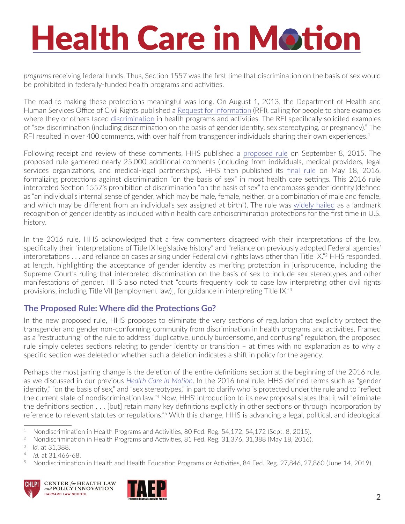*programs* receiving federal funds. Thus, Section 1557 was the first time that discrimination on the basis of sex would be prohibited in federally-funded health programs and activities.

The road to making these protections meaningful was long. On August 1, 2013, the Department of Health and Human Services Office of Civil Rights published a [Request for Information](https://www.gpo.gov/fdsys/pkg/FR-2013-08-01/pdf/2013-18707.pdf) (RFI), calling for people to share examples where they or others faced [discrimination](https://www.npr.org/sections/health-shots/2017/11/21/564817975/health-care-system-fails-many-transgender-americans) in health programs and activities. The RFI specifically solicited examples of "sex discrimination (including discrimination on the basis of gender identity, sex stereotyping, or pregnancy)." The RFI resulted in over 400 comments, with over half from transgender individuals sharing their own experiences.<sup>1</sup>

Following receipt and review of these comments, HHS published a [proposed rule](https://www.gpo.gov/fdsys/pkg/FR-2015-09-08/pdf/2015-22043.pdf) on September 8, 2015. The proposed rule garnered nearly 25,000 additional comments (including from individuals, medical providers, legal services organizations, and medical-legal partnerships). HHS then published its [final rule](https://www.gpo.gov/fdsys/pkg/FR-2016-05-18/pdf/2016-11458.pdf) on May 18, 2016, formalizing protections against discrimination "on the basis of sex" in most health care settings. This 2016 rule interpreted Section 1557's prohibition of discrimination "on the basis of sex" to encompass gender identity (defined as "an individual's internal sense of gender, which may be male, female, neither, or a combination of male and female, and which may be different from an individual's sex assigned at birth"). The rule was [widely hailed](https://www.vox.com/2016/5/13/11672670/transgender-health-care-obamacare) as a landmark recognition of gender identity as included within health care antidiscrimination protections for the first time in U.S. history.

In the 2016 rule, HHS acknowledged that a few commenters disagreed with their interpretations of the law, specifically their "interpretations of Title IX legislative history" and "reliance on previously adopted Federal agencies' interpretations . . . and reliance on cases arising under Federal civil rights laws other than Title IX."2 HHS responded, at length, highlighting the acceptance of gender identity as meriting protection in jurisprudence, including the Supreme Court's ruling that interpreted discrimination on the basis of sex to include sex stereotypes and other manifestations of gender. HHS also noted that "courts frequently look to case law interpreting other civil rights provisions, including Title VII [(employment law)], for guidance in interpreting Title IX."<sup>3</sup>

#### **The Proposed Rule: Where did the Protections Go?**

In the new proposed rule, HHS proposes to eliminate the very sections of regulation that explicitly protect the transgender and gender non-conforming community from discrimination in health programs and activities. Framed as a "restructuring" of the rule to address "duplicative, unduly burdensome, and confusing" regulation, the proposed rule simply deletes sections relating to gender identity or transition – at times with no explanation as to why a specific section was deleted or whether such a deletion indicates a shift in policy for the agency.

Perhaps the most jarring change is the deletion of the entire definitions section at the beginning of the 2016 rule, as we discussed in our previous *[Health Care in Motion](https://www.chlpi.org/wp-content/uploads/2013/12/HCIM_6_05_2019.pdf)*. In the 2016 final rule, HHS defined terms such as "gender identity," "on the basis of sex," and "sex stereotypes," in part to clarify who is protected under the rule and to "reflect the current state of nondiscrimination law."<sup>4</sup> Now, HHS' introduction to its new proposal states that it will "eliminate the definitions section . . . [but] retain many key definitions explicitly in other sections or through incorporation by reference to relevant statutes or regulations."5 With this change, HHS is advancing a legal, political, and ideological

<sup>5</sup> Nondiscrimination in Health and Health Education Programs or Activities, 84 Fed. Reg. 27,846, 27,860 (June 14, 2019).







<sup>&</sup>lt;sup>1</sup> Nondiscrimination in Health Programs and Activities, 80 Fed. Reg. 54,172, 54,172 (Sept. 8, 2015).

<sup>&</sup>lt;sup>2</sup> Nondiscrimination in Health Programs and Activities, 81 Fed. Reg. 31,376, 31,388 (May 18, 2016).

<sup>3</sup> *Id.* at 31,388.

<sup>4</sup> *Id.* at 31,466-68.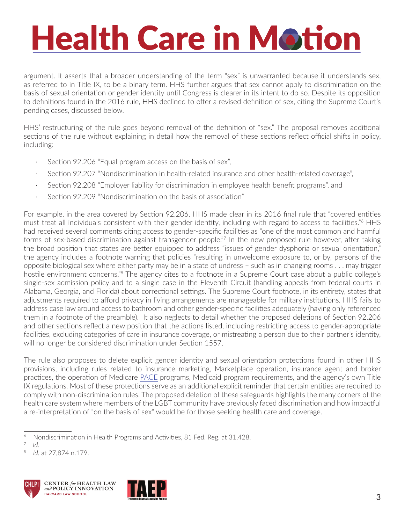argument. It asserts that a broader understanding of the term "sex" is unwarranted because it understands sex, as referred to in Title IX, to be a binary term. HHS further argues that sex cannot apply to discrimination on the basis of sexual orientation or gender identity until Congress is clearer in its intent to do so. Despite its opposition to definitions found in the 2016 rule, HHS declined to offer a revised definition of sex, citing the Supreme Court's pending cases, discussed below.

HHS' restructuring of the rule goes beyond removal of the definition of "sex." The proposal removes additional sections of the rule without explaining in detail how the removal of these sections reflect official shifts in policy, including:

- Section 92.206 "Equal program access on the basis of sex",
- · Section 92.207 "Nondiscrimination in health-related insurance and other health-related coverage",
- Section 92.208 "Employer liability for discrimination in employee health benefit programs", and
- Section 92.209 "Nondiscrimination on the basis of association"

For example, in the area covered by Section 92.206, HHS made clear in its 2016 final rule that "covered entities must treat all individuals consistent with their gender identity, including with regard to access to facilities."<sup>6</sup> HHS had received several comments citing access to gender-specific facilities as "one of the most common and harmful forms of sex-based discrimination against transgender people."<sup>7</sup> In the new proposed rule however, after taking the broad position that states are better equipped to address "issues of gender dysphoria or sexual orientation," the agency includes a footnote warning that policies "resulting in unwelcome exposure to, or by, persons of the opposite biological sex where either party may be in a state of undress – such as in changing rooms . . . may trigger hostile environment concerns."<sup>8</sup> The agency cites to a footnote in a Supreme Court case about a public college's single-sex admission policy and to a single case in the Eleventh Circuit (handling appeals from federal courts in Alabama, Georgia, and Florida) about correctional settings. The Supreme Court footnote, in its entirety, states that adjustments required to afford privacy in living arrangements are manageable for military institutions. HHS fails to address case law around access to bathroom and other gender-specific facilities adequately (having only referenced them in a footnote of the preamble). It also neglects to detail whether the proposed deletions of Section 92.206 and other sections reflect a new position that the actions listed, including restricting access to gender-appropriate facilities, excluding categories of care in insurance coverage, or mistreating a person due to their partner's identity, will no longer be considered discrimination under Section 1557.

The rule also proposes to delete explicit gender identity and sexual orientation protections found in other HHS provisions, including rules related to insurance marketing, Marketplace operation, insurance agent and broker practices, the operation of Medicare [PACE](https://www.medicare.gov/your-medicare-costs/get-help-paying-costs/pace) programs, Medicaid program requirements, and the agency's own Title IX regulations. Most of these protections serve as an additional explicit reminder that certain entities are required to comply with non-discrimination rules. The proposed deletion of these safeguards highlights the many corners of the health care system where members of the LGBT community have previously faced discrimination and how impactful a re-interpretation of "on the basis of sex" would be for those seeking health care and coverage.

<sup>8</sup> *Id.* at 27,874 n.179.





<sup>&</sup>lt;sup>6</sup> Nondiscrimination in Health Programs and Activities, 81 Fed. Reg. at 31,428.

 $\frac{7}{8}$  *Id.*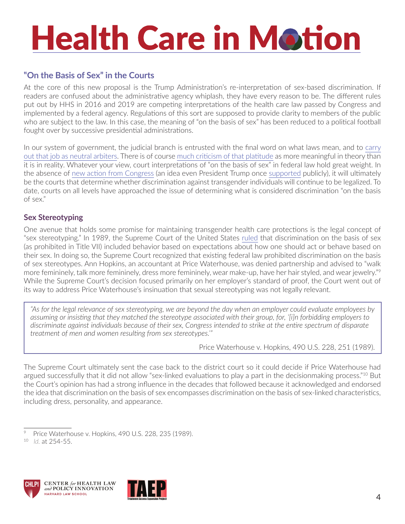#### **"On the Basis of Sex" in the Courts**

At the core of this new proposal is the Trump Administration's re-interpretation of sex-based discrimination. If readers are confused about the administrative agency whiplash, they have every reason to be. The different rules put out by HHS in 2016 and 2019 are competing interpretations of the health care law passed by Congress and implemented by a federal agency. Regulations of this sort are supposed to provide clarity to members of the public who are subject to the law. In this case, the meaning of "on the basis of sex" has been reduced to a political football fought over by successive presidential administrations.

In our system of government, the judicial branch is entrusted with the final word on what laws mean, and to [carry](https://abcnews.go.com/Archives/video/sept-12-2005-john-roberts-baseball-analogy-10628259)  [out that job as neutral arbiters](https://abcnews.go.com/Archives/video/sept-12-2005-john-roberts-baseball-analogy-10628259). There is of course [much criticism of that platitude](http://www2.law.columbia.edu/fagan/courses/law_socialscience/documents/Spring_2006/Class 2-Origins of Social Science Law/Crenshaw_Foot_in_the_Closing_Door.pdf) as more meaningful in theory than it is in reality. Whatever your view, court interpretations of "on the basis of sex" in federal law hold great weight. In the absence of [new action from Congress](https://www.vox.com/policy-and-politics/2019/5/17/18627771/equality-act-house-congress-lgbtq-rights-discrimination) (an idea even President Trump once [supported](https://www.advocate.com/election/2015/9/28/read-donald-trumps-advocate-interview-where-he-defends-gays-mexicans) publicly), it will ultimately be the courts that determine whether discrimination against transgender individuals will continue to be legalized. To date, courts on all levels have approached the issue of determining what is considered discrimination "on the basis of sex."

#### **Sex Stereotyping**

One avenue that holds some promise for maintaining transgender health care protections is the legal concept of "sex stereotyping." In 1989, the Supreme Court of the United States [ruled](https://www.law.cornell.edu/supremecourt/text/490/228) that discrimination on the basis of sex (as prohibited in Title VII) included behavior based on expectations about how one should act or behave based on their sex. In doing so, the Supreme Court recognized that existing federal law prohibited discrimination on the basis of sex stereotypes. Ann Hopkins, an accountant at Price Waterhouse, was denied partnership and advised to "walk more femininely, talk more femininely, dress more femininely, wear make-up, have her hair styled, and wear jewelry."9 While the Supreme Court's decision focused primarily on her employer's standard of proof, the Court went out of its way to address Price Waterhouse's insinuation that sexual stereotyping was not legally relevant.

*"As for the legal relevance of sex stereotyping, we are beyond the day when an employer could evaluate employees by assuming or insisting that they matched the stereotype associated with their group, for, '[i]n forbidding employers to discriminate against individuals because of their sex, Congress intended to strike at the entire spectrum of disparate treatment of men and women resulting from sex stereotypes.'"* 

Price Waterhouse v. Hopkins, 490 U.S. 228, 251 (1989).

The Supreme Court ultimately sent the case back to the district court so it could decide if Price Waterhouse had argued successfully that it did not allow "sex-linked evaluations to play a part in the decisionmaking process."<sup>10</sup> But the Court's opinion has had a strong influence in the decades that followed because it acknowledged and endorsed the idea that discrimination on the basis of sex encompasses discrimination on the basis of sex-linked characteristics, including dress, personality, and appearance.





Price Waterhouse v. Hopkins, 490 U.S. 228, 235 (1989).

<sup>10</sup> *Id.* at 254-55.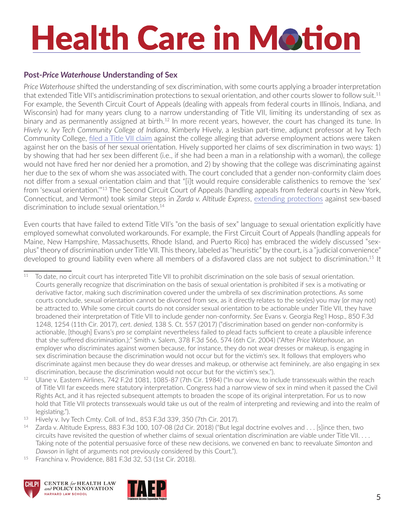#### **Post-***Price Waterhouse* **Understanding of Sex**

*Price Waterhouse* shifted the understanding of sex discrimination, with some courts applying a broader interpretation that extended Title VII's antidiscrimination protections to sexual orientation, and other courts slower to follow suit.<sup>11</sup> For example, the Seventh Circuit Court of Appeals (dealing with appeals from federal courts in Illinois, Indiana, and Wisconsin) had for many years clung to a narrow understanding of Title VII, limiting its understanding of sex as binary and as permanently assigned at birth.<sup>12</sup> In more recent years, however, the court has changed its tune. In *Hively v. Ivy Tech Community College of Indiana*, Kimberly Hively, a lesbian part-time, adjunct professor at Ivy Tech Community College, [filed a Title VII claim](https://www.lambdalegal.org/in-court/cases/in_hively-v-ivy-tech) against the college alleging that adverse employment actions were taken against her on the basis of her sexual orientation. Hively supported her claims of sex discrimination in two ways: 1) by showing that had her sex been different (i.e., if she had been a man in a relationship with a woman), the college would not have fired her nor denied her a promotion, and 2) by showing that the college was discriminating against her due to the sex of whom she was associated with. The court concluded that a gender non-conformity claim does not differ from a sexual orientation claim and that "[i]t would require considerable calisthenics to remove the 'sex' from 'sexual orientation.'"13 The Second Circuit Court of Appeals (handling appeals from federal courts in New York, Connecticut, and Vermont) took similar steps in *Zarda v. Altitude Express*, [extending protections](https://www.aclu.org/cases/altitude-express-inc-v-zarda) against sex-based discrimination to include sexual orientation.<sup>14</sup>

Even courts that have failed to extend Title VII's "on the basis of sex" language to sexual orientation explicitly have employed somewhat convoluted workarounds. For example, the First Circuit Court of Appeals (handling appeals for Maine, New Hampshire, Massachusetts, Rhode Island, and Puerto Rico) has embraced the widely discussed "sexplus" theory of discrimination under Title VII. This theory, labeled as "heuristic" by the court, is a "judicial convenience" developed to ground liability even where all members of a disfavored class are not subject to discrimination.<sup>15</sup> It

<sup>15</sup> Franchina v. Providence, 881 F.3d 32, 53 (1st Cir. 2018).





<sup>&</sup>lt;sup>11</sup> To date, no circuit court has interpreted Title VII to prohibit discrimination on the sole basis of sexual orientation. Courts generally recognize that discrimination on the basis of sexual orientation is prohibited if sex is a motivating or derivative factor, making such discrimination covered under the umbrella of sex discrimination protections. As some courts conclude, sexual orientation cannot be divorced from sex, as it directly relates to the sex(es) you may (or may not) be attracted to. While some circuit courts do not consider sexual orientation to be actionable under Title VII, they have broadened their interpretation of Title VII to include gender non-conformity. *See* Evans v. Georgia Reg'l Hosp., 850 F.3d 1248, 1254 (11th Cir. 2017), *cert. denied,* 138 S. Ct. 557 (2017) ("discrimination based on gender non-conformity is actionable, [though] Evans's *pro se* complaint nevertheless failed to plead facts sufficient to create a plausible inference that she suffered discrimination.);" Smith v. Salem, 378 F.3d 566, 574 (6th Cir. 2004) ("After *Price Waterhouse*, an employer who discriminates against women because, for instance, they do not wear dresses or makeup, is engaging in sex discrimination because the discrimination would not occur but for the victim's sex. It follows that employers who discriminate against men because they do wear dresses and makeup, or otherwise act femininely, are also engaging in sex discrimination, because the discrimination would not occur but for the victim's sex.").

<sup>&</sup>lt;sup>12</sup> Ulane v. Eastern Airlines, 742 F.2d 1081, 1085-87 (7th Cir. 1984) ("In our view, to include transsexuals within the reach of Title VII far exceeds mere statutory interpretation. Congress had a narrow view of sex in mind when it passed the Civil Rights Act, and it has rejected subsequent attempts to broaden the scope of its original interpretation. For us to now hold that Title VII protects transsexuals would take us out of the realm of interpreting and reviewing and into the realm of legislating."). 13 Hively v. Ivy Tech Cmty. Coll. of Ind., 853 F.3d 339, 350 (7th Cir. 2017).

<sup>14</sup> Zarda v. Altitude Express, 883 F.3d 100, 107-08 (2d Cir. 2018) ("But legal doctrine evolves and . . . [s]ince then, two circuits have revisited the question of whether claims of sexual orientation discrimination are viable under Title VII. . . . Taking note of the potential persuasive force of these new decisions, we convened en banc to reevaluate *Simonton* and *Dawson* in light of arguments not previously considered by this Court.").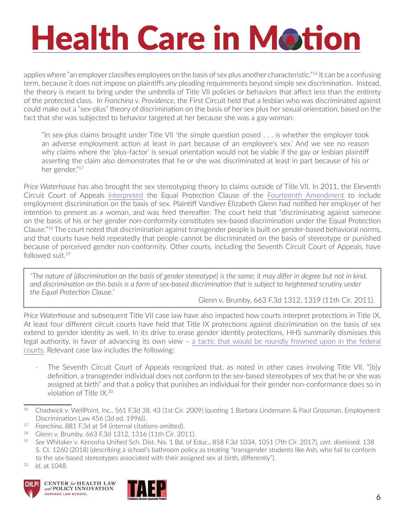applies where "an employer classifies employees on the basis of sex plus another characteristic."16 It can be a confusing term, because it does not impose on plaintiffs any pleading requirements beyond simple sex discrimination. Instead, the theory is meant to bring under the umbrella of Title VII policies or behaviors that affect less than the entirety of the protected class. In *Franchina v. Providence*, the First Circuit held that a lesbian who was discriminated against could make out a "sex-plus" theory of discrimination on the basis of her sex plus her sexual orientation, based on the fact that she was subjected to behavior targeted at her because she was a gay woman:

"In sex-plus claims brought under Title VII 'the simple question posed . . . is whether the employer took an adverse employment action at least in part because of an employee's sex.' And we see no reason why claims where the 'plus-factor' is sexual orientation would not be viable if the gay or lesbian plaintiff asserting the claim also demonstrates that he or she was discriminated at least in part because of his or her gender."17

*Price Waterhouse* has also brought the sex stereotyping theory to claims outside of Title VII. In 2011, the Eleventh Circuit Court of Appeals [interpreted](https://scholar.google.com/scholar_case?case=16555670383261317325&hl=en&as_sdt=6&as_vis=1&oi=scholarr) the Equal Protection Clause of the [Fourteenth Amendment](https://www.law.cornell.edu/constitution/amendmentxiv) to include employment discrimination on the basis of sex. Plaintiff Vandiver Elizabeth Glenn had notified her employer of her intention to present as a woman, and was fired thereafter. The court held that "discriminating against someone on the basis of his or her gender non-conformity constitutes sex-based discrimination under the Equal Protection Clause."18 The court noted that discrimination against transgender people is built on gender-based behavioral norms, and that courts have held repeatedly that people cannot be discriminated on the basis of stereotype or punished because of perceived gender non-conformity. Other courts, including the Seventh Circuit Court of Appeals, have followed suit.19

*"The nature of [discrimination on the basis of gender stereotype] is the same; it may differ in degree but not in kind,*  and discrimination on this basis is a form of sex-based discrimination that is subject to heightened scrutiny under *the Equal Protection Clause."*

Glenn v. Brumby, 663 F.3d 1312, 1319 (11th Cir. 2011).

*Price Waterhouse* and subsequent Title VII case law have also impacted how courts interpret protections in Title IX. At least four different circuit courts have held that Title IX protections against discrimination on the basis of sex extend to gender identity as well. In its drive to erase gender identity protections, HHS summarily dismisses this legal authority, in favor of advancing its own view – [a tactic that would be roundly frowned upon in the federal](https://twitter.com/ssamcham/status/1131927884329836546)  [courts](https://twitter.com/ssamcham/status/1131927884329836546). Relevant case law includes the following:

The Seventh Circuit Court of Appeals recognized that, as noted in other cases involving Title VII, "[b]y definition, a transgender individual does not conform to the sex-based stereotypes of sex that he or she was assigned at birth" and that a policy that punishes an individual for their gender non-conformance does so in violation of Title IX.20







<sup>&</sup>lt;sup>16</sup> Chadwick v. WellPoint, Inc., 561 F.3d 38, 43 (1st Cir. 2009) (quoting 1 Barbara Lindemann & Paul Grossman, Employment Discrimination Law 456 (3d ed. 1996)).

<sup>17</sup> *Franchina*, 881 F.3d at 54 (internal citations omitted).

<sup>18</sup> Glenn v. Brumby, 663 F.3d 1312, 1316 (11th Cir. 2011).

<sup>19</sup> *See* Whitaker v. Kenosha Unified Sch. Dist. No. 1 Bd. of Educ., 858 F.3d 1034, 1051 (7th Cir. 2017), *cert. dismissed,* 138 S. Ct. 1260 (2018) (describing a school's bathroom policy as treating "transgender students like Ash, who fail to conform to the sex-based stereotypes associated with their assigned sex at birth, differently"). 20 *Id.* at 1048.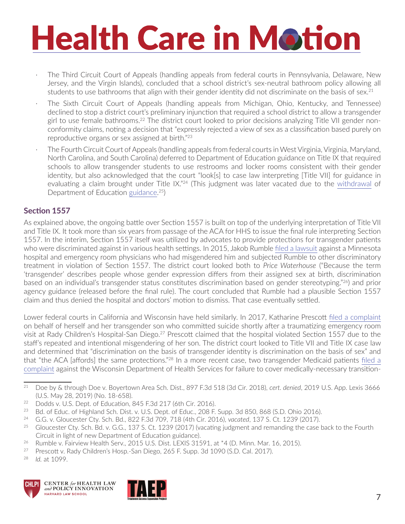- · The Third Circuit Court of Appeals (handling appeals from federal courts in Pennsylvania, Delaware, New Jersey, and the Virgin Islands), concluded that a school district's sex-neutral bathroom policy allowing all students to use bathrooms that align with their gender identity did not discriminate on the basis of sex.<sup>21</sup>
- The Sixth Circuit Court of Appeals (handling appeals from Michigan, Ohio, Kentucky, and Tennessee) declined to stop a district court's preliminary injunction that required a school district to allow a transgender girl to use female bathrooms.22 The district court looked to prior decisions analyzing Title VII gender nonconformity claims, noting a decision that "expressly rejected a view of sex as a classification based purely on reproductive organs or sex assigned at birth."23
- The Fourth Circuit Court of Appeals (handling appeals from federal courts in West Virginia, Virginia, Maryland, North Carolina, and South Carolina) deferred to Department of Education guidance on Title IX that required schools to allow transgender students to use restrooms and locker rooms consistent with their gender identity, but also acknowledged that the court "look[s] to case law interpreting [Title VII] for guidance in evaluating a claim brought under Title IX."<sup>24</sup> (This judgment was later vacated due to the [withdrawal](https://www2.ed.gov/about/offices/list/ocr/letters/colleague-201702-title-ix.pdf) of Department of Education [guidance.](https://www2.ed.gov/about/offices/list/ocr/letters/colleague-201605-title-ix-transgender.pdf) 25)

#### **Section 1557**

As explained above, the ongoing battle over Section 1557 is built on top of the underlying interpretation of Title VII and Title IX. It took more than six years from passage of the ACA for HHS to issue the final rule interpreting Section 1557. In the interim, Section 1557 itself was utilized by advocates to provide protections for transgender patients who were discriminated against in various health settings. In 2015, Jakob Rumble [filed a lawsuit](https://www.genderjustice.us/news/2016/1/10/the-affordable-care-act-bans-discrimination-against-transgender-patients) against a Minnesota hospital and emergency room physicians who had misgendered him and subjected Rumble to other discriminatory treatment in violation of Section 1557. The district court looked both to *Price Waterhouse* ("Because the term 'transgender' describes people whose gender expression differs from their assigned sex at birth, discrimination based on an individual's transgender status constitutes discrimination based on gender stereotyping."26) and prior agency guidance (released before the final rule). The court concluded that Rumble had a plausible Section 1557 claim and thus denied the hospital and doctors' motion to dismiss. That case eventually settled.

Lower federal courts in California and Wisconsin have held similarly. In 2017, Katharine Prescott [filed a complaint](https://transgenderlawcenter.org/legal/youth/prescott) on behalf of herself and her transgender son who committed suicide shortly after a traumatizing emergency room visit at Rady Children's Hospital-San Diego.27 Prescott claimed that the hospital violated Section 1557 due to the staff's repeated and intentional misgendering of her son. The district court looked to Title VII and Title IX case law and determined that "discrimination on the basis of transgender identity is discrimination on the basis of sex" and that "the ACA [affords] the same protections."28 In a more recent case, two transgender Medicaid patients [filed a](https://www.relmanlaw.com/cases-flack)  [complaint](https://www.relmanlaw.com/cases-flack) against the Wisconsin Department of Health Services for failure to cover medically-necessary transition-

24 G.G. v. Gloucester Cty. Sch. Bd., 822 F.3d 709, 718 (4th Cir. 2016), *vacated*, 137 S. Ct. 1239 (2017).

28 *Id.* at 1099.





<sup>21</sup> Doe by & through Doe v. Boyertown Area Sch. Dist., 897 F.3d 518 (3d Cir. 2018), *cert. denied*, 2019 U.S. App. Lexis 3666 (U.S. May 28, 2019) (No. 18-658).

<sup>&</sup>lt;sup>22</sup> Dodds v. U.S. Dept. of Education, 845 F.3d 217 (6th Cir. 2016).

<sup>&</sup>lt;sup>23</sup> Bd. of Educ. of Highland Sch. Dist. v. U.S. Dept. of Educ., 208 F. Supp. 3d 850, 868 (S.D. Ohio 2016).

<sup>&</sup>lt;sup>25</sup> Gloucester Cty. Sch. Bd. v. G.G., 137 S. Ct. 1239 (2017) (vacating judgment and remanding the case back to the Fourth Circuit in light of new Department of Education guidance).

<sup>&</sup>lt;sup>26</sup> Rumble v. Fairview Health Serv., 2015 U.S. Dist. LEXIS 31591, at \*4 (D. Minn. Mar. 16, 2015).

<sup>&</sup>lt;sup>27</sup> Prescott v. Rady Children's Hosp.-San Diego, 265 F. Supp. 3d 1090 (S.D. Cal. 2017).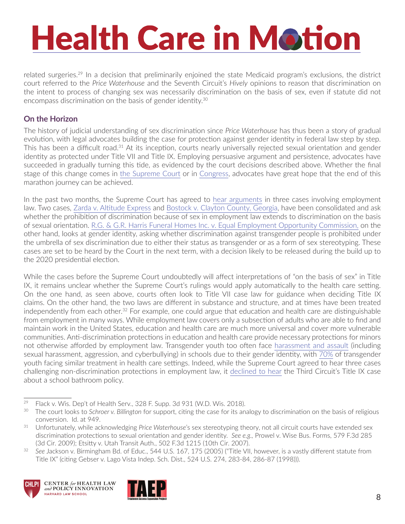related surgeries.29 In a decision that preliminarily enjoined the state Medicaid program's exclusions, the district court referred to the *Price Waterhouse* and the Seventh Circuit's *Hively* opinions to reason that discrimination on the intent to process of changing sex was necessarily discrimination on the basis of sex, even if statute did not encompass discrimination on the basis of gender identity.30

#### **On the Horizon**

The history of judicial understanding of sex discrimination since *Price Waterhouse* has thus been a story of gradual evolution, with legal advocates building the case for protection against gender identity in federal law step by step. This has been a difficult road.31 At its inception, courts nearly universally rejected sexual orientation and gender identity as protected under Title VII and Title IX. Employing persuasive argument and persistence, advocates have succeeded in gradually turning this tide, as evidenced by the court decisions described above. Whether the final stage of this change comes in [the Supreme Court](https://www.chlpi.org/wp-content/uploads/2013/12/HCIM_04_23_2019.pdf) or in [Congress](https://www.congress.gov/bill/116th-congress/house-bill/5), advocates have great hope that the end of this marathon journey can be achieved.

In the past two months, the Supreme Court has agreed to [hear arguments](https://www.chlpi.org/wp-content/uploads/2013/12/HCIM_04_23_2019.pdf) in three cases involving employment law. Two cases, [Zarda v. Altitude Express](https://www.scotusblog.com/case-files/cases/altitude-express-inc-v-zarda/) and [Bostock v. Clayton County, Georgia,](https://www.scotusblog.com/case-files/cases/bostock-v-clayton-county-georgia/) have been consolidated and ask whether the prohibition of discrimination because of sex in employment law extends to discrimination on the basis of sexual orientation. [R.G. & G.R. Harris Funeral Homes Inc. v. Equal Employment Opportunity Commission,](https://www.scotusblog.com/case-files/cases/r-g-g-r-harris-funeral-homes-inc-v-equal-opportunity-employment-commission/) on the other hand, looks at gender identity, asking whether discrimination against transgender people is prohibited under the umbrella of sex discrimination due to either their status as transgender or as a form of sex stereotyping. These cases are set to be heard by the Court in the next term, with a decision likely to be released during the build up to the 2020 presidential election.

While the cases before the Supreme Court undoubtedly will affect interpretations of "on the basis of sex" in Title IX, it remains unclear whether the Supreme Court's rulings would apply automatically to the health care setting. On the one hand, as seen above, courts often look to Title VII case law for guidance when deciding Title IX claims. On the other hand, the two laws are different in substance and structure, and at times have been treated independently from each other.<sup>32</sup> For example, one could argue that education and health care are distinguishable from employment in many ways. While employment law covers only a subsection of adults who are able to find and maintain work in the United States, education and health care are much more universal and cover more vulnerable communities. Anti-discrimination protections in education and health care provide necessary protections for minors not otherwise afforded by employment law. Transgender youth too often face [harassment and assault](https://www.glsen.org/sites/default/files/Harsh Realities.pdf) (including sexual harassment, aggression, and cyberbullying) in schools due to their gender identity, with [70%](https://www.genderjustice.us/news/2016/1/10/the-affordable-care-act-bans-discrimination-against-transgender-patients) of transgender youth facing similar treatment in health care settings. Indeed, while the Supreme Court agreed to hear three cases challenging non-discrimination protections in employment law, it [declined to hear](https://www.scotusblog.com/case-files/cases/doe-v-boyertown-area-school-district/) the Third Circuit's Title IX case about a school bathroom policy.

Title IX" (citing Gebser v. Lago Vista Indep. Sch. Dist., 524 U.S. 274, 283-84, 286-87 (1998))).





<sup>29</sup> Flack v. Wis. Dep't of Health Serv., 328 F. Supp. 3d 931 (W.D. Wis. 2018).

<sup>30</sup> The court looks to *Schroer v. Billington* for support, citing the case for its analogy to discrimination on the basis of religious conversion. Id. at 949.

<sup>31</sup> Unfortunately, while acknowledging *Price Waterhouse*'s sex stereotyping theory, not all circuit courts have extended sex discrimination protections to sexual orientation and gender identity. *See e.g.,* Prowel v. Wise Bus. Forms, 579 F.3d 285 (3d Cir. 2009); Etsitty v. Utah Transit Auth., 502 F.3d 1215 (10th Cir. 2007).<br>See Jackson v. Birmingham Bd. of Educ., 544 U.S. 167, 175 (2005) ("Title VII, however, is a vastly different statute from